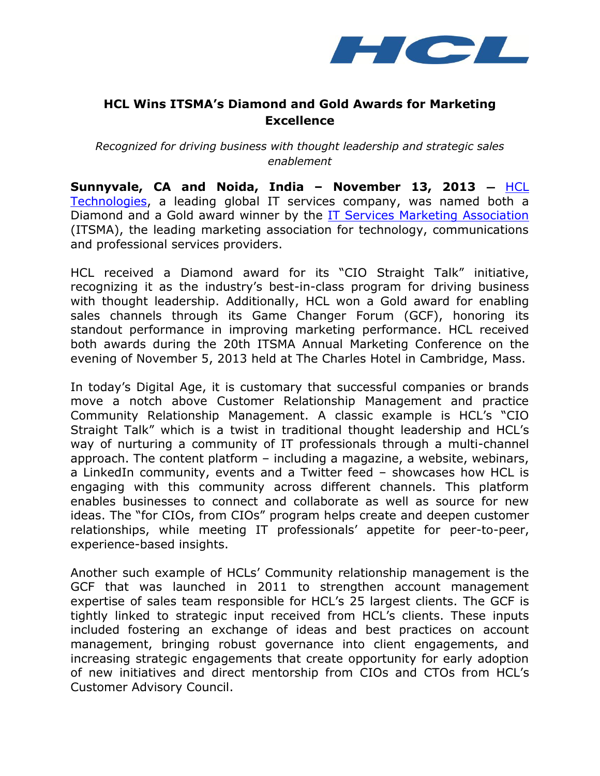

# **HCL Wins ITSMA's Diamond and Gold Awards for Marketing Excellence**

*Recognized for driving business with thought leadership and strategic sales enablement*

**Sunnyvale, CA and Noida, India – November 13, 2013 —** [HCL](http://www.hcltech.com/)  [Technologies,](http://www.hcltech.com/) a leading global IT services company, was named both a Diamond and a Gold award winner by the **IT Services Marketing Association** (ITSMA), the leading marketing association for technology, communications and professional services providers.

HCL received a Diamond award for its "CIO Straight Talk" initiative, recognizing it as the industry's best-in-class program for driving business with thought leadership. Additionally, HCL won a Gold award for enabling sales channels through its Game Changer Forum (GCF), honoring its standout performance in improving marketing performance. HCL received both awards during the 20th ITSMA Annual Marketing Conference on the evening of November 5, 2013 held at The Charles Hotel in Cambridge, Mass.

In today's Digital Age, it is customary that successful companies or brands move a notch above Customer Relationship Management and practice Community Relationship Management. A classic example is HCL's "CIO Straight Talk" which is a twist in traditional thought leadership and HCL's way of nurturing a community of IT professionals through a multi-channel approach. The content platform – including a magazine, a website, webinars, a LinkedIn community, events and a Twitter feed – showcases how HCL is engaging with this community across different channels. This platform enables businesses to connect and collaborate as well as source for new ideas. The "for CIOs, from CIOs" program helps create and deepen customer relationships, while meeting IT professionals' appetite for peer-to-peer, experience-based insights.

Another such example of HCLs' Community relationship management is the GCF that was launched in 2011 to strengthen account management expertise of sales team responsible for HCL's 25 largest clients. The GCF is tightly linked to strategic input received from HCL's clients. These inputs included fostering an exchange of ideas and best practices on account management, bringing robust governance into client engagements, and increasing strategic engagements that create opportunity for early adoption of new initiatives and direct mentorship from CIOs and CTOs from HCL's Customer Advisory Council.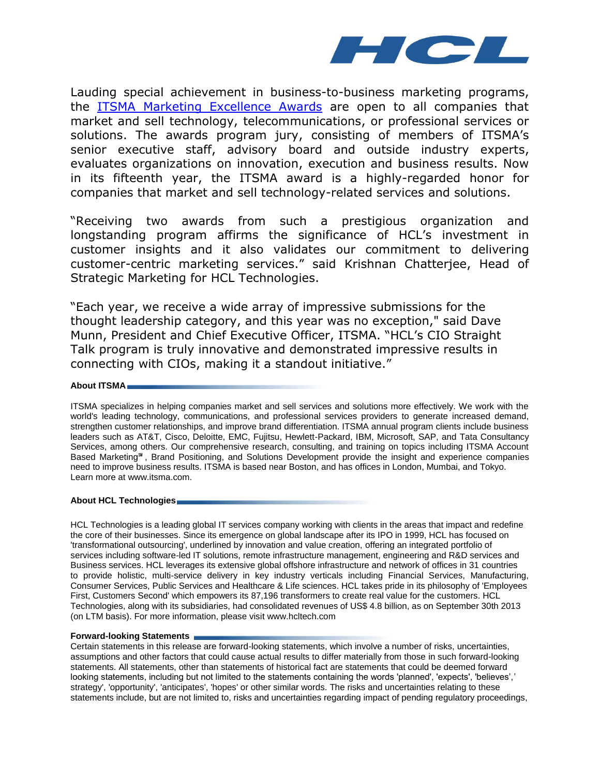

Lauding special achievement in business-to-business marketing programs, the **[ITSMA Marketing Excellence Awards](http://www.itsma.com/news/mea/)** are open to all companies that market and sell technology, telecommunications, or professional services or solutions. The awards program jury, consisting of members of ITSMA's senior executive staff, advisory board and outside industry experts, evaluates organizations on innovation, execution and business results. Now in its fifteenth year, the ITSMA award is a highly-regarded honor for companies that market and sell technology-related services and solutions.

"Receiving two awards from such a prestigious organization and longstanding program affirms the significance of HCL's investment in customer insights and it also validates our commitment to delivering customer-centric marketing services." said Krishnan Chatterjee, Head of Strategic Marketing for HCL Technologies.

"Each year, we receive a wide array of impressive submissions for the thought leadership category, and this year was no exception," said Dave Munn, President and Chief Executive Officer, ITSMA. "HCL's CIO Straight Talk program is truly innovative and demonstrated impressive results in connecting with CIOs, making it a standout initiative."

### **About ITSMA**

ITSMA specializes in helping companies market and sell services and solutions more effectively. We work with the world's leading technology, communications, and professional services providers to generate increased demand, strengthen customer relationships, and improve brand differentiation. ITSMA annual program clients include business leaders such as AT&T, Cisco, Deloitte, EMC, Fujitsu, Hewlett-Packard, IBM, Microsoft, SAP, and Tata Consultancy Services, among others. Our comprehensive research, consulting, and training on topics including ITSMA Account Based Marketing℠ , Brand Positioning, and Solutions Development provide the insight and experience companies need to improve business results. ITSMA is based near Boston, and has offices in London, Mumbai, and Tokyo. Learn more a[t www.itsma.com.](http://www.itsma.com/)

## **About HCL Technologies**

HCL Technologies is a leading global IT services company working with clients in the areas that impact and redefine the core of their businesses. Since its emergence on global landscape after its IPO in 1999, HCL has focused on 'transformational outsourcing', underlined by innovation and value creation, offering an integrated portfolio of services including software-led IT solutions, remote infrastructure management, engineering and R&D services and Business services. HCL leverages its extensive global offshore infrastructure and network of offices in 31 countries to provide holistic, multi-service delivery in key industry verticals including Financial Services, Manufacturing, Consumer Services, Public Services and Healthcare & Life sciences. HCL takes pride in its philosophy of 'Employees First, Customers Second' which empowers its 87,196 transformers to create real value for the customers. HCL Technologies, along with its subsidiaries, had consolidated revenues of US\$ 4.8 billion, as on September 30th 2013 (on LTM basis). For more information, please visit www.hcltech.com

#### **Forward-looking Statements**

Certain statements in this release are forward-looking statements, which involve a number of risks, uncertainties, assumptions and other factors that could cause actual results to differ materially from those in such forward-looking statements. All statements, other than statements of historical fact are statements that could be deemed forward looking statements, including but not limited to the statements containing the words 'planned', 'expects', 'believes',' strategy', 'opportunity', 'anticipates', 'hopes' or other similar words. The risks and uncertainties relating to these statements include, but are not limited to, risks and uncertainties regarding impact of pending regulatory proceedings,